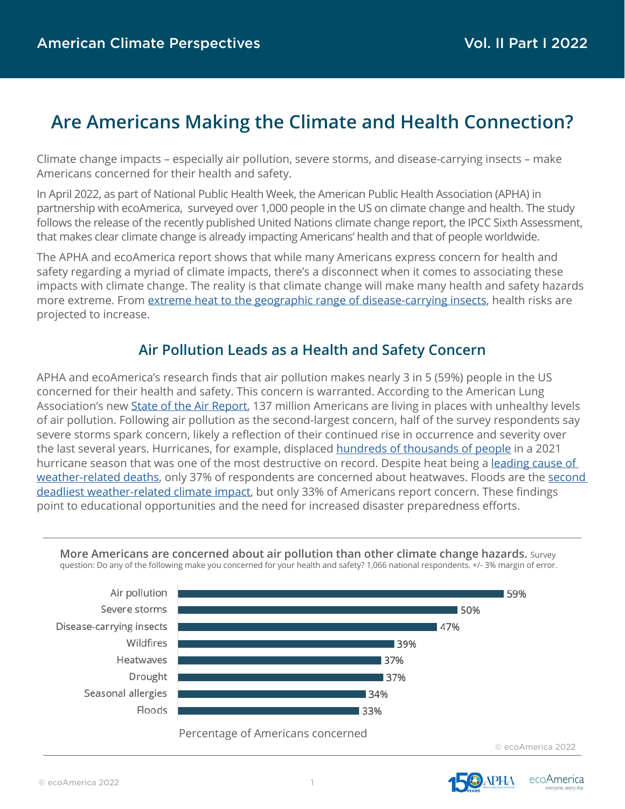# **Are Americans Making the Climate and Health Connection?**

Climate change impacts – especially air pollution, severe storms, and disease-carrying insects – make Americans concerned for their health and safety.

In April 2022, as part of National Public Health Week, the American Public Health Association (APHA) in partnership with ecoAmerica, surveyed over 1,000 people in the US on climate change and health. The study follows the release of the recently published United Nations climate change report, the IPCC Sixth Assessment, that makes clear climate change is already impacting Americans' health and that of people worldwide.

The APHA and ecoAmerica report shows that while many Americans express concern for health and safety regarding a myriad of climate impacts, there's a disconnect when it comes to associating these impacts with climate change. The reality is that climate change will make many health and safety hazards more extreme. From [extreme heat to the geographic range of disease-carrying insects,](https://www.ipcc.ch/report/ar6/wg2/downloads/report/IPCC_AR6_WGII_FinalDraft_Chapter14.pdf) health risks are projected to increase.

# **Air Pollution Leads as a Health and Safety Concern**

APHA and ecoAmerica's research finds that air pollution makes nearly 3 in 5 (59%) people in the US concerned for their health and safety. This concern is warranted. According to the American Lung Association's new [State of the Air Report](https://www.lung.org/research/sota/key-findings), 137 million Americans are living in places with unhealthy levels of air pollution. Following air pollution as the second-largest concern, half of the survey respondents say severe storms spark concern, likely a reflection of their continued rise in occurrence and severity over the last several years. Hurricanes, for example, displaced [hundreds of thousands of people](https://www.forbes.com/sites/nicholasreimann/2021/11/30/devastating-2021-hurricane-season-ends-heres-the-toll-it-took/?sh=678c00755316) in a 2021 hurricane season that was one of the most destructive on record. Despite heat being a [leading cause of](https://www.epa.gov/climate-indicators/climate-change-indicators-heat-related-deaths#:~:text=When%20people%20are%20exposed%20to,other%20forms%20of%20cardiovascular%20disease.)  [weather-related deaths](https://www.epa.gov/climate-indicators/climate-change-indicators-heat-related-deaths#:~:text=When%20people%20are%20exposed%20to,other%20forms%20of%20cardiovascular%20disease.), only 37% of respondents are concerned about heatwaves. Floods are the second [deadliest weather-related climate impact](https://www.cdc.gov/climateandhealth/effects/precipitation_extremes.htm#:~:text=Floods%20are%20the%20second%20deadliest,the%20highest%20number%20of%20deaths.), but only 33% of Americans report concern. These findings point to educational opportunities and the need for increased disaster preparedness efforts.

**More Americans are concerned about air pollution than other climate change hazards.** Survey question: Do any of the following make you concerned for your health and safety? 1,066 national respondents. +/- 3% margin of error.



© ecoAmerica 2022



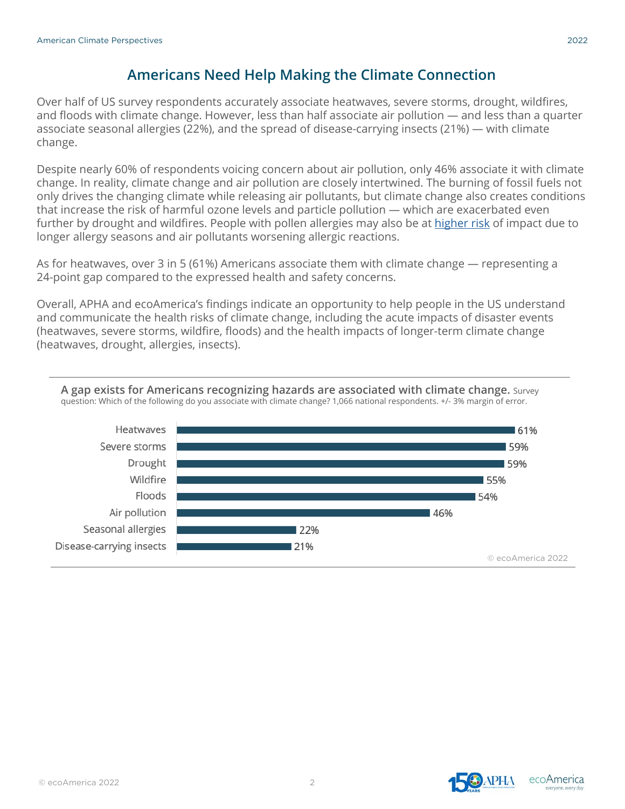## **Americans Need Help Making the Climate Connection**

Over half of US survey respondents accurately associate heatwaves, severe storms, drought, wildfires, and floods with climate change. However, less than half associate air pollution — and less than a quarter associate seasonal allergies (22%), and the spread of disease-carrying insects (21%) — with climate change.

Despite nearly 60% of respondents voicing concern about air pollution, only 46% associate it with climate change. In reality, climate change and air pollution are closely intertwined. The burning of fossil fuels not only drives the changing climate while releasing air pollutants, but climate change also creates conditions that increase the risk of harmful ozone levels and particle pollution — which are exacerbated even further by drought and wildfires. People with pollen allergies may also be at [higher risk](https://www.cdc.gov/climateandhealth/pubs/air-quality-final_508.pdf) of impact due to longer allergy seasons and air pollutants worsening allergic reactions.

As for heatwaves, over 3 in 5 (61%) Americans associate them with climate change — representing a 24-point gap compared to the expressed health and safety concerns.

Overall, APHA and ecoAmerica's findings indicate an opportunity to help people in the US understand and communicate the health risks of climate change, including the acute impacts of disaster events (heatwaves, severe storms, wildfire, floods) and the health impacts of longer-term climate change (heatwaves, drought, allergies, insects).





ecoAmerica